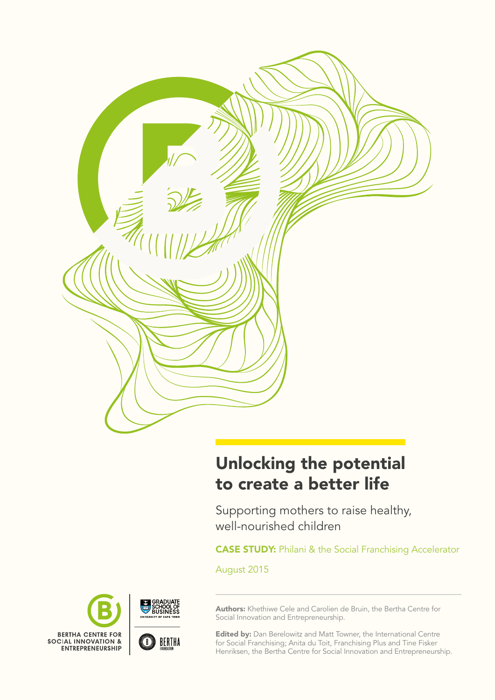

# Unlocking the potential to create a better life

Supporting mothers to raise healthy, well-nourished children

**CASE STUDY:** Philani & the Social Franchising Accelerator

August 2015



Authors: Khethiwe Cele and Carolien de Bruin, the Bertha Centre for Social Innovation and Entrepreneurship.

**Edited by:** Dan Berelowitz and Matt Towner, the International Centre for Social Franchising; Anita du Toit, Franchising Plus and Tine Fisker Henriksen, the Bertha Centre for Social Innovation and Entrepreneurship.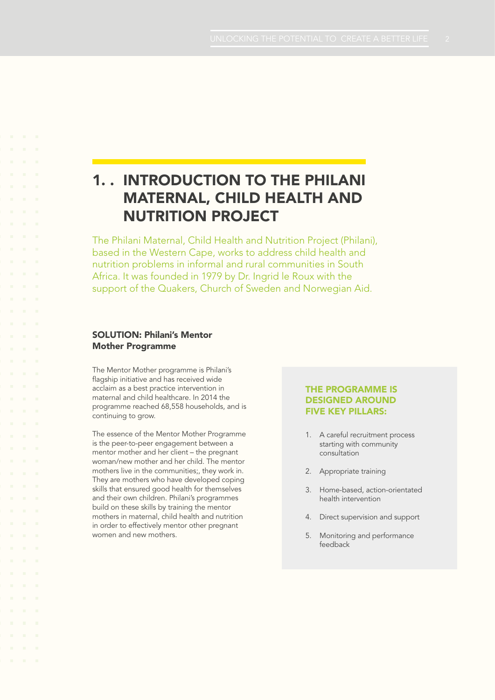## 1. . introduction to The Philani Maternal, Child Health and Nutrition Project

The Philani Maternal, Child Health and Nutrition Project (Philani), based in the Western Cape, works to address child health and nutrition problems in informal and rural communities in South Africa. It was founded in 1979 by Dr. Ingrid le Roux with the support of the Quakers, Church of Sweden and Norwegian Aid.

### **SOLUTION: Philani's Mentor** Mother Programme

The Mentor Mother programme is Philani's flagship initiative and has received wide acclaim as a best practice intervention in maternal and child healthcare. In 2014 the programme reached 68,558 households, and is continuing to grow.

The essence of the Mentor Mother Programme is the peer-to-peer engagement between a mentor mother and her client – the pregnant woman/new mother and her child. The mentor mothers live in the communities;, they work in. They are mothers who have developed coping skills that ensured good health for themselves and their own children. Philani's programmes build on these skills by training the mentor mothers in maternal, child health and nutrition in order to effectively mentor other pregnant women and new mothers.

### The programme is designed around five key pillars:

- 1. A careful recruitment process starting with community consultation
- 2. Appropriate training
- 3. Home-based, action-orientated health intervention
- 4. Direct supervision and support
- 5. Monitoring and performance feedback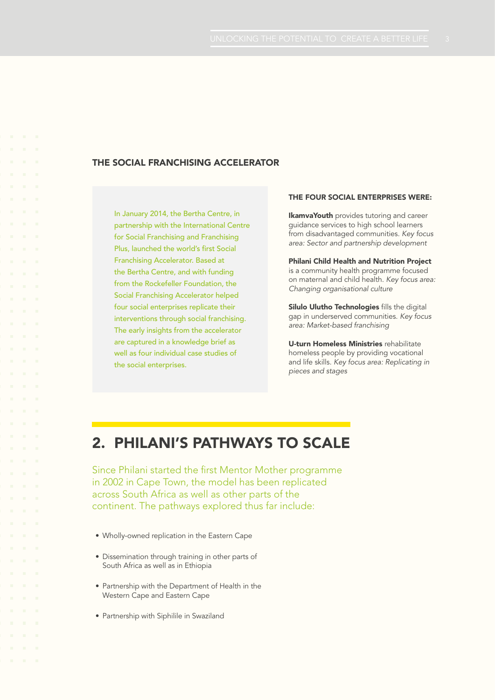## THE SOCIAL FRANCHISING ACCELERATOR

In January 2014, the Bertha Centre, in partnership with the International Centre for Social Franchising and Franchising Plus, launched the world's first Social Franchising Accelerator. Based at the Bertha Centre, and with funding from the Rockefeller Foundation, the Social Franchising Accelerator helped four social enterprises replicate their interventions through social franchising. The early insights from the accelerator are captured in a knowledge brief as well as four individual case studies of the social enterprises.

### The four social enterprises were:

**IkamvaYouth** provides tutoring and career guidance services to high school learners from disadvantaged communities. *Key focus area: Sector and partnership development*

Philani Child Health and Nutrition Project is a community health programme focused on maternal and child health. *Key focus area: Changing organisational culture*

Silulo Ulutho Technologies fills the digital gap in underserved communities. *Key focus area: Market-based franchising*

U-turn Homeless Ministries rehabilitate homeless people by providing vocational and life skills. *Key focus area: Replicating in pieces and stages*

## 2. Philani's pathways to scale

Since Philani started the first Mentor Mother programme in 2002 in Cape Town, the model has been replicated across South Africa as well as other parts of the continent. The pathways explored thus far include:

- Wholly-owned replication in the Eastern Cape
- Dissemination through training in other parts of South Africa as well as in Ethiopia
- Partnership with the Department of Health in the Western Cape and Eastern Cape
- Partnership with Siphilile in Swaziland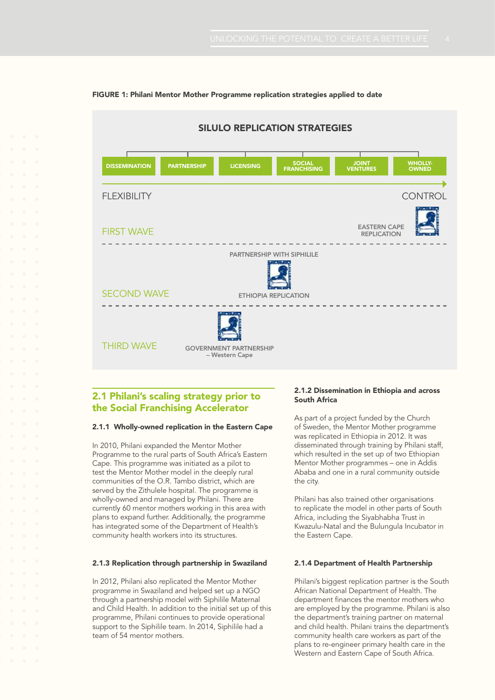

### FIGURE 1: Philani Mentor Mother Programme replication strategies applied to date

## 2.1 Philani's scaling strategy prior to the Social Franchising Accelerator

### 2.1.1 Wholly-owned replication in the Eastern Cape

In 2010, Philani expanded the Mentor Mother Programme to the rural parts of South Africa's Eastern Cape. This programme was initiated as a pilot to test the Mentor Mother model in the deeply rural communities of the O.R. Tambo district, which are served by the Zithulele hospital. The programme is wholly-owned and managed by Philani. There are currently 60 mentor mothers working in this area with plans to expand further. Additionally, the programme has integrated some of the Department of Health's community health workers into its structures.

#### 2.1.3 Replication through partnership in Swaziland

In 2012, Philani also replicated the Mentor Mother programme in Swaziland and helped set up a NGO through a partnership model with Siphilile Maternal and Child Health. In addition to the initial set up of this programme, Philani continues to provide operational support to the Siphilile team. In 2014, Siphilile had a team of 54 mentor mothers.

### 2.1.2 Dissemination in Ethiopia and across South Africa

As part of a project funded by the Church of Sweden, the Mentor Mother programme was replicated in Ethiopia in 2012. It was disseminated through training by Philani staff, which resulted in the set up of two Ethiopian Mentor Mother programmes – one in Addis Ababa and one in a rural community outside the city.

Philani has also trained other organisations to replicate the model in other parts of South Africa, including the Siyabhabha Trust in Kwazulu-Natal and the Bulungula Incubator in the Eastern Cape.

#### 2.1.4 Department of Health Partnership

Philani's biggest replication partner is the South African National Department of Health. The department finances the mentor mothers who are employed by the programme. Philani is also the department's training partner on maternal and child health. Philani trains the department's community health care workers as part of the plans to re-engineer primary health care in the Western and Eastern Cape of South Africa.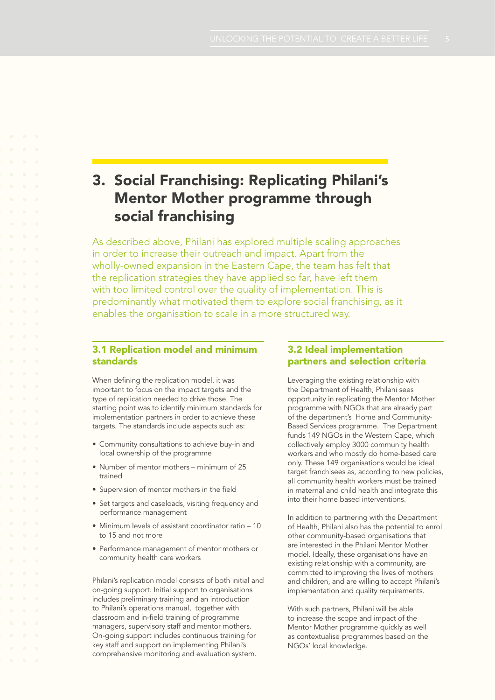## 3. Social Franchising: Replicating Philani's Mentor Mother programme through social franchising

As described above, Philani has explored multiple scaling approaches in order to increase their outreach and impact. Apart from the wholly-owned expansion in the Eastern Cape, the team has felt that the replication strategies they have applied so far, have left them with too limited control over the quality of implementation. This is predominantly what motivated them to explore social franchising, as it enables the organisation to scale in a more structured way.

## 3.1 Replication model and minimum standards

When defining the replication model, it was important to focus on the impact targets and the type of replication needed to drive those. The starting point was to identify minimum standards for implementation partners in order to achieve these targets. The standards include aspects such as:

- Community consultations to achieve buy-in and local ownership of the programme
- Number of mentor mothers minimum of 25 trained
- Supervision of mentor mothers in the field
- Set targets and caseloads, visiting frequency and performance management
- Minimum levels of assistant coordinator ratio 10 to 15 and not more
- • Performance management of mentor mothers or community health care workers

Philani's replication model consists of both initial and on-going support. Initial support to organisations includes preliminary training and an introduction to Philani's operations manual, together with classroom and in-field training of programme managers, supervisory staff and mentor mothers. On-going support includes continuous training for key staff and support on implementing Philani's comprehensive monitoring and evaluation system.

## 3.2 Ideal implementation partners and selection criteria

Leveraging the existing relationship with the Department of Health, Philani sees opportunity in replicating the Mentor Mother programme with NGOs that are already part of the department's Home and Community-Based Services programme. The Department funds 149 NGOs in the Western Cape, which collectively employ 3000 community health workers and who mostly do home-based care only. These 149 organisations would be ideal target franchisees as, according to new policies, all community health workers must be trained in maternal and child health and integrate this into their home based interventions.

In addition to partnering with the Department of Health, Philani also has the potential to enrol other community-based organisations that are interested in the Philani Mentor Mother model. Ideally, these organisations have an existing relationship with a community, are committed to improving the lives of mothers and children, and are willing to accept Philani's implementation and quality requirements.

With such partners, Philani will be able to increase the scope and impact of the Mentor Mother programme quickly as well as contextualise programmes based on the NGOs' local knowledge.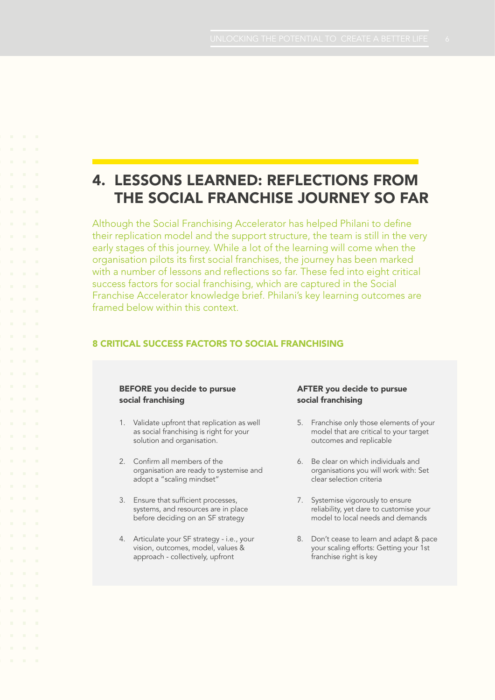## 4. Lessons learned: Reflections from the social franchise journey so far

Although the Social Franchising Accelerator has helped Philani to define their replication model and the support structure, the team is still in the very early stages of this journey. While a lot of the learning will come when the organisation pilots its first social franchises, the journey has been marked with a number of lessons and reflections so far. These fed into eight critical success factors for social franchising, which are captured in the Social Franchise Accelerator knowledge brief. Philani's key learning outcomes are framed below within this context.

### 8 critical success factors to social franchising

### BEFORE you decide to pursue social franchising

- 1. Validate upfront that replication as well as social franchising is right for your solution and organisation.
- 2. Confirm all members of the organisation are ready to systemise and adopt a "scaling mindset"
- 3. Ensure that sufficient processes, systems, and resources are in place before deciding on an SF strategy
- 4. Articulate your SF strategy i.e., your vision, outcomes, model, values & approach - collectively, upfront

### AFTER you decide to pursue social franchising

- 5. Franchise only those elements of your model that are critical to your target outcomes and replicable
- 6. Be clear on which individuals and organisations you will work with: Set clear selection criteria
- 7. Systemise vigorously to ensure reliability, yet dare to customise your model to local needs and demands
- 8. Don't cease to learn and adapt & pace your scaling efforts: Getting your 1st franchise right is key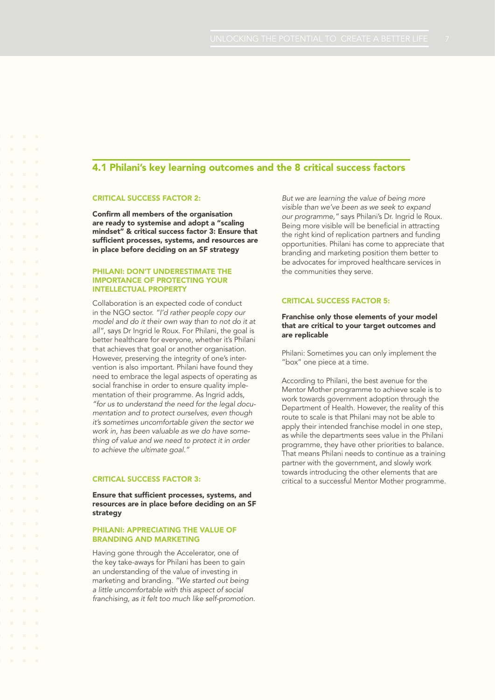## 4.1 Philani's key learning outcomes and the 8 critical success factors

#### Critical success factor 2:

Confirm all members of the organisation are ready to systemise and adopt a "scaling mindset" & critical success factor 3: Ensure that sufficient processes, systems, and resources are in place before deciding on an SF strategy

### Philani: Don't underestimate the importance of protecting your intellectual property

Collaboration is an expected code of conduct in the NGO sector. *"I'd rather people copy our model and do it their own way than to not do it at all"*, says Dr Ingrid le Roux. For Philani, the goal is better healthcare for everyone, whether it's Philani that achieves that goal or another organisation. However, preserving the integrity of one's intervention is also important. Philani have found they need to embrace the legal aspects of operating as social franchise in order to ensure quality implementation of their programme. As Ingrid adds, *"for us to understand the need for the legal documentation and to protect ourselves, even though it's sometimes uncomfortable given the sector we work in, has been valuable as we do have something of value and we need to protect it in order to achieve the ultimate goal."* 

### Critical success factor 3:

Ensure that sufficient processes, systems, and resources are in place before deciding on an SF strategy

#### PHILANI: APPRECIATING THE VALUE OF branding and marketing

Having gone through the Accelerator, one of the key take-aways for Philani has been to gain an understanding of the value of investing in marketing and branding. *"We started out being a little uncomfortable with this aspect of social franchising, as it felt too much like self-promotion.*  *But we are learning the value of being more visible than we've been as we seek to expand our programme,"* says Philani's Dr. Ingrid le Roux. Being more visible will be beneficial in attracting the right kind of replication partners and funding opportunities. Philani has come to appreciate that branding and marketing position them better to be advocates for improved healthcare services in the communities they serve.

### Critical success factor 5:

### Franchise only those elements of your model that are critical to your target outcomes and are replicable

Philani: Sometimes you can only implement the "box" one piece at a time.

According to Philani, the best avenue for the Mentor Mother programme to achieve scale is to work towards government adoption through the Department of Health. However, the reality of this route to scale is that Philani may not be able to apply their intended franchise model in one step, as while the departments sees value in the Philani programme, they have other priorities to balance. That means Philani needs to continue as a training partner with the government, and slowly work towards introducing the other elements that are critical to a successful Mentor Mother programme.